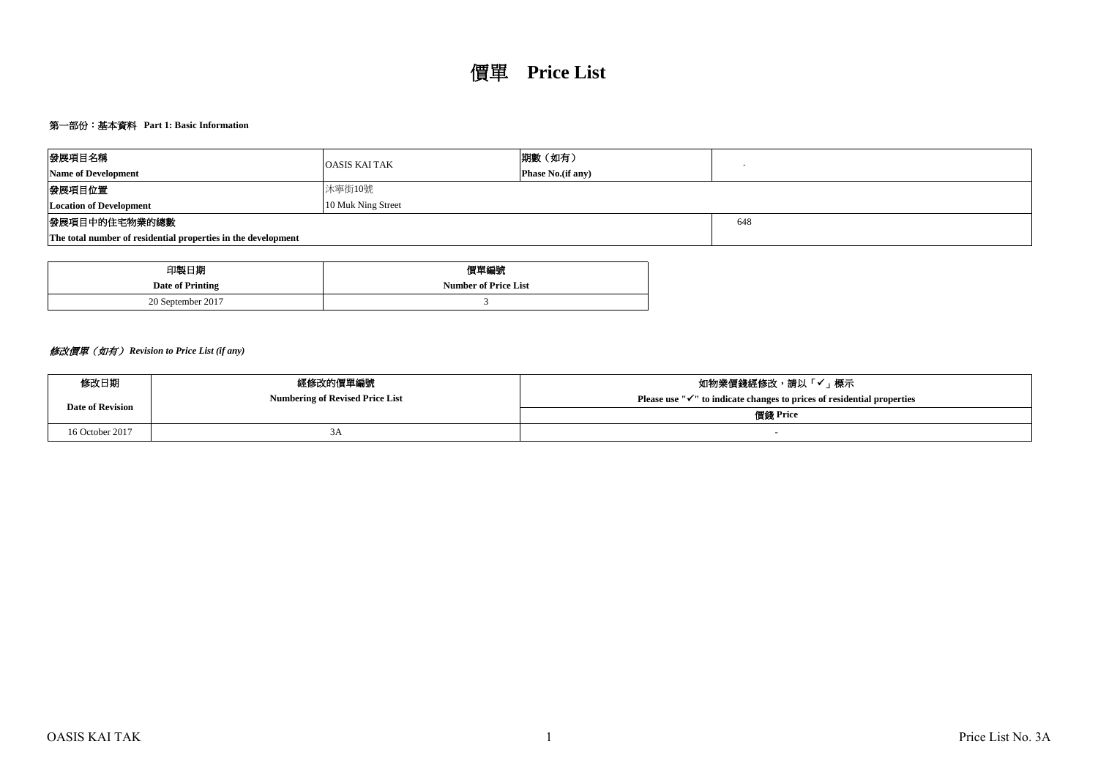# 第一部份:基本資料 **Part 1: Basic Information**

| 發展項目名稱<br><b>Name of Development</b>                          | <b>OASIS KAI TAK</b> | 期數(如有)<br><b>Phase No.</b> (if any) |  |  |  |  |  |  |  |
|---------------------------------------------------------------|----------------------|-------------------------------------|--|--|--|--|--|--|--|
| 發展項目位置                                                        | 沐寧街10號               |                                     |  |  |  |  |  |  |  |
| <b>Location of Development</b>                                | 10 Muk Ning Street   |                                     |  |  |  |  |  |  |  |
| 發展項目中的住宅物業的總數                                                 | 648                  |                                     |  |  |  |  |  |  |  |
| The total number of residential properties in the development |                      |                                     |  |  |  |  |  |  |  |

| 印製日期              | 價單編號                        |
|-------------------|-----------------------------|
| Date of Printing  | <b>Number of Price List</b> |
| 20 September 2017 |                             |

# 修改價單(如有) *Revision to Price List (if any)*

| 修改日期                    | 經修改的價單編號                               | 如物業價錢經修改,請以「✔」標示                                                                    |  |  |  |  |  |
|-------------------------|----------------------------------------|-------------------------------------------------------------------------------------|--|--|--|--|--|
| <b>Date of Revision</b> | <b>Numbering of Revised Price List</b> | Please use " $\checkmark$ " to indicate changes to prices of residential properties |  |  |  |  |  |
|                         |                                        | 價錢 Price                                                                            |  |  |  |  |  |
| 16 October 2017         | JЛ                                     |                                                                                     |  |  |  |  |  |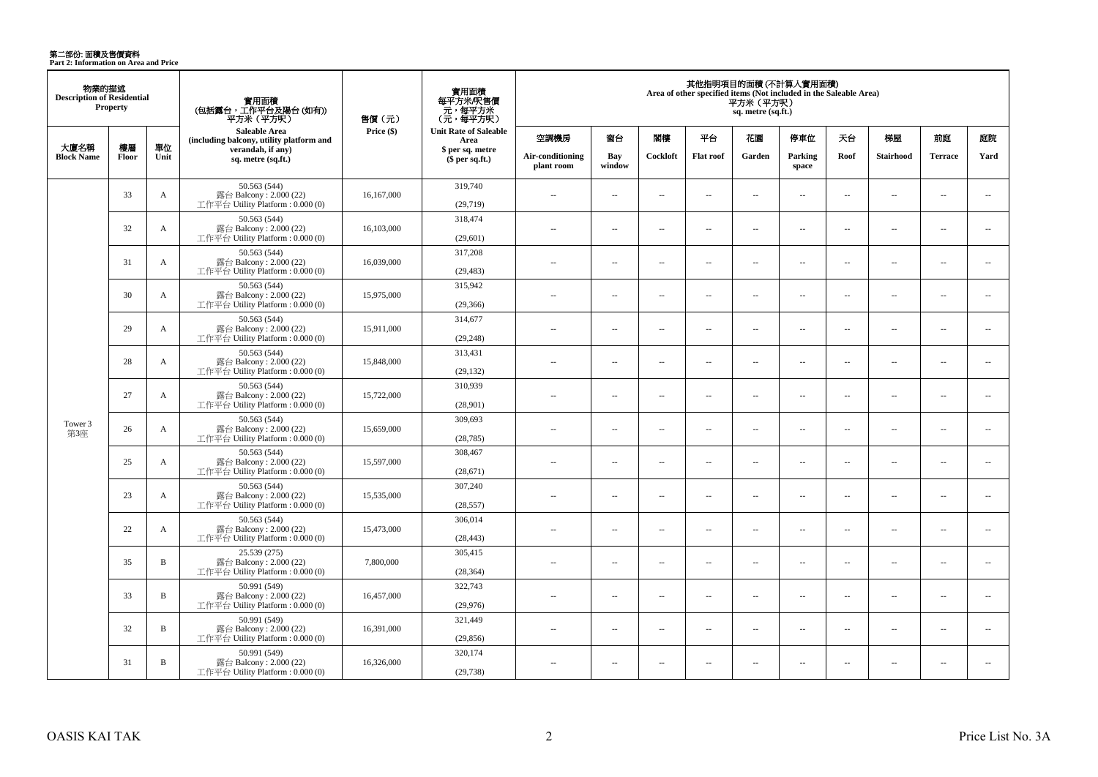**第二部份: 面積及售價資料**<br>Part 2: Information on Area and Price

| 物業的描述<br><b>Description of Residential</b> | <b>Property</b> |              | 實用面積<br>(包括露台,工作平台及陽台(如有))<br>平方米 (平方呎)                                      | 售價 (元)     | 實用面積<br>每平方米/呎售價<br>- 元, 每平方米<br>(元, 每平方呎) |                                |                          |                          |                          | 平方米(平方呎)<br>sq. metre (sq.ft.) | 其他指明項目的面積(不計算入實用面積)<br>Area of other specified items (Not included in the Saleable Area) |                          |                          |                          |                          |
|--------------------------------------------|-----------------|--------------|------------------------------------------------------------------------------|------------|--------------------------------------------|--------------------------------|--------------------------|--------------------------|--------------------------|--------------------------------|------------------------------------------------------------------------------------------|--------------------------|--------------------------|--------------------------|--------------------------|
|                                            |                 |              | Saleable Area<br>(including balcony, utility platform and                    | Price (\$) | <b>Unit Rate of Saleable</b><br>Area       | 空調機房                           | 窗台                       | 閣樓                       | 平台                       | 花園                             | 停車位                                                                                      | 天台                       | 梯屋                       | 前庭                       | 庭院                       |
| 大廈名稱<br><b>Block Name</b>                  | 樓層<br>Floor     | 單位<br>Unit   | verandah, if any)<br>sq. metre (sq.ft.)                                      |            | \$ per sq. metre<br>\$per sq.ft.)          | Air-conditioning<br>plant room | Bay<br>window            | Cockloft                 | <b>Flat</b> roof         | Garden                         | Parking<br>space                                                                         | Roof                     | <b>Stairhood</b>         | <b>Terrace</b>           | Yard                     |
|                                            | 33              | $\mathbf{A}$ | 50.563 (544)<br>露台 Balcony: 2.000 (22)<br>工作平台 Utility Platform : $0.000(0)$ | 16,167,000 | 319,740<br>(29,719)                        | $\overline{a}$                 | $\sim$                   | $\sim$                   | $\overline{a}$           | $\sim$ $\sim$                  | $\sim$                                                                                   | $\overline{\phantom{a}}$ | $\sim$                   | $\overline{a}$           | $\sim$                   |
|                                            | 32              | $\mathbf{A}$ | 50.563 (544)<br>露台 Balcony: 2.000 (22)<br>工作平台 Utility Platform : 0.000 (0)  | 16,103,000 | 318,474<br>(29,601)                        | $-$                            | $\overline{a}$           | $\sim$                   | $\sim$                   | $\overline{a}$                 | $\sim$                                                                                   | $\sim$                   | $\sim$                   | $\overline{a}$           | $\sim$                   |
|                                            | 31              | A            | 50.563 (544)<br>露台 Balcony: 2.000 (22)<br>工作平台 Utility Platform : 0.000 (0)  | 16,039,000 | 317,208<br>(29, 483)                       | $\overline{a}$                 | $\sim$                   | $\sim$                   | μ.                       | $\overline{\phantom{a}}$       | $\overline{\phantom{a}}$                                                                 | $\overline{\phantom{a}}$ | $\sim$                   | $\overline{\phantom{a}}$ | $\overline{\phantom{a}}$ |
|                                            | 30              | A            | 50.563 (544)<br>露台 Balcony: 2.000 (22)<br>工作平台 Utility Platform: 0.000 (0)   | 15,975,000 | 315,942<br>(29, 366)                       | $\overline{a}$                 | $\overline{a}$           | $\sim$                   | $\sim$                   | $\sim$                         | $\sim$                                                                                   | $\overline{\phantom{a}}$ | $\sim$                   | $\overline{a}$           | $\sim$                   |
|                                            | 29              | $\mathbf{A}$ | 50.563 (544)<br>露台 Balcony: 2.000 (22)<br>工作平台 Utility Platform: 0.000 (0)   | 15,911,000 | 314,677<br>(29, 248)                       | $\overline{a}$                 | $\overline{a}$           | $\sim$                   | $\overline{a}$           | $\sim$                         | $\sim$                                                                                   | $\overline{\phantom{a}}$ | $\sim$                   | $\overline{a}$           | $\sim$                   |
|                                            | 28              | A            | 50.563 (544)<br>露台 Balcony: 2.000 (22)<br>工作平台 Utility Platform: 0.000 (0)   | 15,848,000 | 313,431<br>(29, 132)                       | $\sim$                         | $\sim$                   | $\sim$                   | $\overline{\phantom{a}}$ | $\sim$                         | $\sim$                                                                                   | $\overline{\phantom{a}}$ | $\overline{\phantom{a}}$ | $\overline{a}$           | $\overline{\phantom{a}}$ |
|                                            | 27              | $\mathbf{A}$ | 50.563 (544)<br>露台 Balcony: 2.000 (22)<br>工作平台 Utility Platform: 0.000 (0)   | 15,722,000 | 310,939<br>(28,901)                        | $\sim$                         | $\sim$                   | $\sim$                   | $\sim$                   | $\sim$                         | $\sim$                                                                                   | $\sim$                   | $\sim$                   | $\sim$                   | $\sim$                   |
| Tower 3<br>第3座                             | 26              | A            | 50.563 (544)<br>露台 Balcony: 2.000 (22)<br>工作平台 Utility Platform : 0.000 (0)  | 15,659,000 | 309,693<br>(28, 785)                       | $\overline{a}$                 | $\overline{\phantom{a}}$ | $\sim$                   | $\sim$                   | $\overline{a}$                 | $\overline{\phantom{a}}$                                                                 | $\overline{\phantom{a}}$ | $\sim$                   | $\overline{a}$           | $\overline{\phantom{a}}$ |
|                                            | 25              | $\mathbf{A}$ | 50.563 (544)<br>露台 Balcony: 2.000 (22)<br>工作平台 Utility Platform: 0.000 (0)   | 15,597,000 | 308,467<br>(28, 671)                       | $-$                            | $\overline{\phantom{a}}$ | $\sim$                   | $\overline{a}$           | $\overline{\phantom{a}}$       | $\overline{\phantom{a}}$                                                                 | $\overline{\phantom{a}}$ | $\overline{\phantom{a}}$ | $\overline{\phantom{a}}$ | $\overline{\phantom{a}}$ |
|                                            | 23              | $\mathbf{A}$ | 50.563 (544)<br>露台 Balcony: 2.000 (22)<br>工作平台 Utility Platform : $0.000(0)$ | 15,535,000 | 307,240<br>(28, 557)                       | $\overline{a}$                 | $\overline{\phantom{a}}$ | $\sim$                   | μ.                       | $\overline{\phantom{a}}$       | $\sim$                                                                                   | $\overline{\phantom{a}}$ | ÷.                       | $\sim$                   | $\sim$                   |
|                                            | 22              | A            | 50.563 (544)<br>露台 Balcony: 2.000 (22)<br>工作平台 Utility Platform : 0.000 (0)  | 15,473,000 | 306,014<br>(28, 443)                       | $\overline{\phantom{a}}$       | $\overline{\phantom{a}}$ | $\overline{\phantom{a}}$ | $\overline{\phantom{a}}$ | $\overline{\phantom{a}}$       | $\overline{\phantom{a}}$                                                                 | $\overline{\phantom{a}}$ | $\overline{\phantom{a}}$ | $\overline{\phantom{a}}$ | $\overline{\phantom{a}}$ |
|                                            | 35              | $\, {\bf B}$ | 25.539 (275)<br>露台 Balcony: 2.000 (22)<br>工作平台 Utility Platform : $0.000(0)$ | 7,800,000  | 305,415<br>(28, 364)                       | $\overline{a}$                 | $\sim$                   | $\sim$                   | $\overline{a}$           | $\sim$                         | $\sim$                                                                                   | $\overline{\phantom{a}}$ | $\sim$                   | $\overline{\phantom{a}}$ | $\overline{\phantom{a}}$ |
|                                            | 33              | B            | 50.991 (549)<br>露台 Balcony: 2.000 (22)<br>工作平台 Utility Platform : 0.000 (0)  | 16.457,000 | 322,743<br>(29,976)                        | $\overline{a}$                 | $\sim$                   | $\sim$                   | $\sim$                   | $\overline{a}$                 | $\sim$                                                                                   | $\overline{\phantom{a}}$ | $\sim$                   | $\sim$                   | $\sim$                   |
|                                            | 32              | $\, {\bf B}$ | 50.991 (549)<br>露台 Balcony: 2.000 (22)<br>工作平台 Utility Platform: 0.000 (0)   | 16,391,000 | 321,449<br>(29, 856)                       | $\overline{a}$                 | $\overline{\phantom{a}}$ | $\sim$                   | $\overline{\phantom{a}}$ | $\overline{\phantom{a}}$       | $\sim$                                                                                   | $\overline{\phantom{a}}$ | $\sim$                   | $\overline{a}$           | $\overline{\phantom{a}}$ |
|                                            | 31              | B            | 50.991 (549)<br>露台 Balcony: 2.000 (22)<br>工作平台 Utility Platform: 0.000 (0)   | 16,326,000 | 320,174<br>(29, 738)                       | $\overline{a}$                 | $\sim$                   | $\sim$                   | $\overline{\phantom{a}}$ | $\overline{a}$                 | $\sim$                                                                                   | $\overline{\phantom{a}}$ | $\sim$                   | $\overline{\phantom{a}}$ | $\overline{\phantom{a}}$ |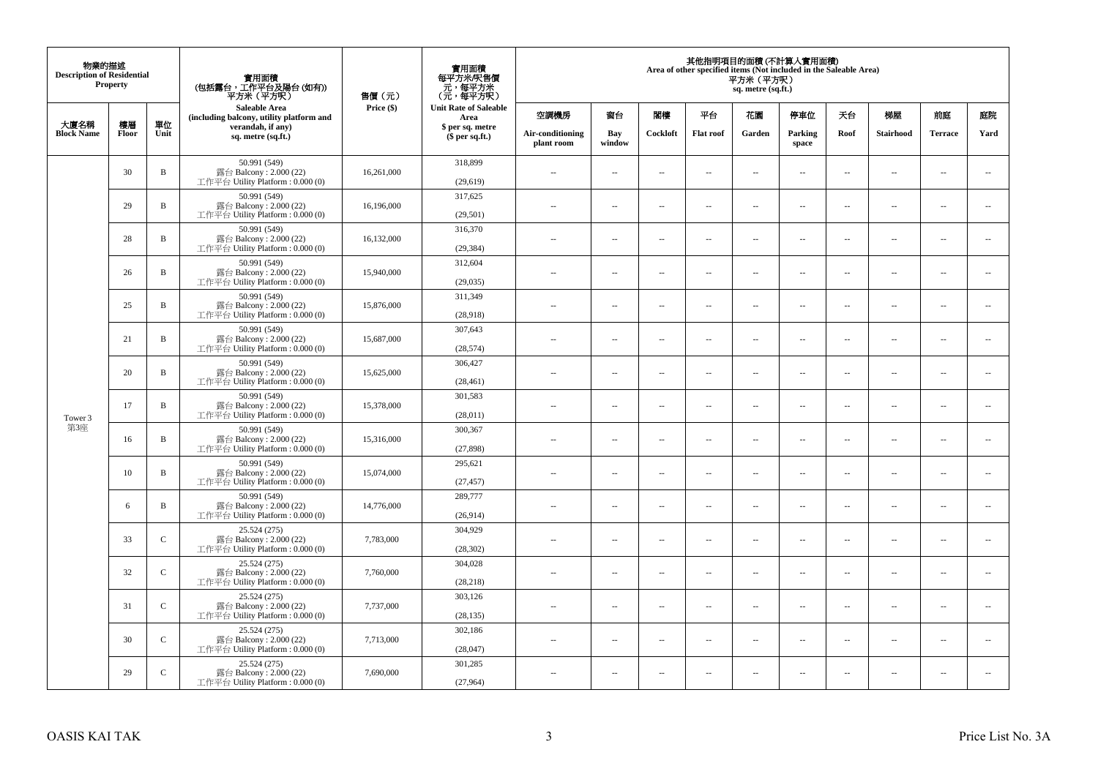| 物業的描述<br><b>Description of Residential</b> | Property |               | 實用面積<br>(包括露台,工作平台及陽台(如有))<br>平方米(平方呎)                                       | 售價(元)      | 實用面積<br>每平方米/呎售價<br>- 元, 每平方米<br>(元, 每平方呎) |                                |                          |                          | Area of other specified items (Not included in the Saleable Area) | 平方米 (平方呎)<br>sq. metre (sq.ft.) | 其他指明項目的面積 (不計算入實用面積)     |                          |                          |                          |                             |
|--------------------------------------------|----------|---------------|------------------------------------------------------------------------------|------------|--------------------------------------------|--------------------------------|--------------------------|--------------------------|-------------------------------------------------------------------|---------------------------------|--------------------------|--------------------------|--------------------------|--------------------------|-----------------------------|
| 大廈名稱                                       | 樓層       | 單位            | <b>Saleable Area</b><br>(including balcony, utility platform and             | Price (\$) | <b>Unit Rate of Saleable</b><br>Area       | 空調機房                           | 窗台                       | 閣樓                       | 平台                                                                | 花園                              | 停車位                      | 天台                       | 梯屋                       | 前庭                       | 庭院                          |
| <b>Block Name</b>                          | Floor    | Unit          | verandah, if any)<br>sq. metre (sq.ft.)                                      |            | \$ per sq. metre<br>\$per sq.ft.)          | Air-conditioning<br>plant room | Bay<br>window            | Cockloft                 | <b>Flat</b> roof                                                  | Garden                          | Parking<br>space         | Roof                     | Stairhood                | <b>Terrace</b>           | Yard                        |
|                                            | 30       | $\, {\bf B}$  | 50.991 (549)<br>露台 Balcony: 2.000 (22)<br>工作平台 Utility Platform: 0.000 (0)   | 16,261,000 | 318,899<br>(29,619)                        | $\ddot{\phantom{a}}$           | $\overline{\phantom{a}}$ | $\sim$                   | μ.                                                                | $\sim$                          | $\sim$                   | $\overline{\phantom{a}}$ | Ξ.                       | $\ddot{\phantom{a}}$     | $\sim$                      |
|                                            | 29       | $\, {\bf B}$  | 50.991 (549)<br>露台 Balcony: 2.000 (22)<br>工作平台 Utility Platform: 0.000 (0)   | 16,196,000 | 317,625<br>(29, 501)                       | $\sim$                         | $\overline{a}$           | $\sim$                   | $\sim$                                                            | $\sim$                          | $\sim$                   | $\sim$                   | $\sim$                   | $\sim$                   | $\mathcal{L}_{\mathcal{A}}$ |
|                                            | 28       | $\, {\bf B}$  | 50.991 (549)<br>露台 Balcony: 2.000 (22)<br>工作平台 Utility Platform: 0.000 (0)   | 16,132,000 | 316,370<br>(29, 384)                       | $\overline{\phantom{a}}$       | $\overline{\phantom{a}}$ | $\overline{\phantom{a}}$ | --                                                                | $\overline{\phantom{a}}$        | $\overline{\phantom{a}}$ | $\overline{\phantom{a}}$ | $\overline{\phantom{a}}$ | $\overline{\phantom{a}}$ | $\overline{\phantom{a}}$    |
|                                            | 26       | B             | 50.991 (549)<br>露台 Balcony: 2.000 (22)<br>工作平台 Utility Platform: 0.000 (0)   | 15,940,000 | 312,604<br>(29, 035)                       | $\sim$                         | $\overline{\phantom{a}}$ | $\sim$                   | $\sim$                                                            | $\overline{\phantom{a}}$        | $\sim$                   | $\sim$                   | $\sim$                   | $\overline{\phantom{a}}$ | $\overline{\phantom{a}}$    |
|                                            | 25       | B             | 50.991 (549)<br>露台 Balcony: 2.000 (22)<br>工作平台 Utility Platform: 0.000 (0)   | 15,876,000 | 311,349<br>(28,918)                        |                                | μ.                       | ÷.                       | μ.                                                                | $\sim$                          | $\sim$                   | $\sim$                   | Ξ.                       | $\ddot{\phantom{a}}$     | $\sim$                      |
|                                            | 21       | $\, {\bf B}$  | 50.991 (549)<br>露台 Balcony: 2.000 (22)<br>工作平台 Utility Platform: 0.000 (0)   | 15,687,000 | 307,643<br>(28, 574)                       | ×.                             | $\sim$                   | $\sim$                   | $\sim$                                                            | $\sim$                          | $\sim$                   | $\sim$                   | $\overline{a}$           | $\sim$                   | $\sim$                      |
|                                            | 20       | $\, {\bf B}$  | 50.991 (549)<br>露台 Balcony: 2.000 (22)<br>工作平台 Utility Platform: 0.000 (0)   | 15,625,000 | 306,427<br>(28, 461)                       | $\sim$                         | $\overline{\phantom{a}}$ | $\sim$                   | μ.                                                                | $\overline{\phantom{a}}$        | $\overline{\phantom{a}}$ | $\overline{\phantom{a}}$ | $\overline{\phantom{a}}$ | $\overline{\phantom{a}}$ | $\overline{\phantom{a}}$    |
| Tower 3                                    | 17       | $\, {\bf B}$  | 50.991 (549)<br>露台 Balcony: 2.000 (22)<br>工作平台 Utility Platform: 0.000 (0)   | 15,378,000 | 301.583<br>(28,011)                        | $\sim$                         | $\overline{a}$           | $\sim$                   | $\sim$                                                            | $\overline{a}$                  | $\sim$                   | $\overline{\phantom{a}}$ | $\overline{\phantom{a}}$ | $\sim$                   | $\sim$                      |
| 第3座                                        | 16       | $\, {\bf B}$  | 50.991 (549)<br>露台 Balcony: 2.000 (22)<br>工作平台 Utility Platform: 0.000 (0)   | 15,316,000 | 300,367<br>(27, 898)                       | $\overline{\phantom{a}}$       | $\sim$                   | $\sim$                   | $\sim$                                                            | $\sim$                          | $\sim$                   | $\overline{\phantom{a}}$ | $\overline{a}$           | $\sim$                   | $\ddot{\phantom{a}}$        |
|                                            | 10       | $\, {\bf B}$  | 50.991 (549)<br>露台 Balcony: 2.000 (22)<br>工作平台 Utility Platform : 0.000 (0)  | 15,074,000 | 295,621<br>(27, 457)                       | $\sim$                         | $\sim$                   | $\sim$                   | $\sim$                                                            | $\sim$ $\sim$                   | $\overline{\phantom{a}}$ | $\sim$                   | $\sim$                   | $\overline{\phantom{a}}$ | $\overline{\phantom{a}}$    |
|                                            | 6        | B             | 50.991 (549)<br>露台 Balcony: 2.000 (22)<br>工作平台 Utility Platform : 0.000 (0)  | 14,776,000 | 289,777<br>(26,914)                        |                                | $\overline{\phantom{a}}$ | $\sim$                   | μ.                                                                | $\sim$                          | $\sim$                   | $\overline{\phantom{a}}$ | Ξ.                       | $\ddot{\phantom{a}}$     | $\sim$                      |
|                                            | 33       | $\mathcal{C}$ | 25.524 (275)<br>露台 Balcony: 2.000 (22)<br>工作平台 Utility Platform : 0.000 (0)  | 7,783,000  | 304,929<br>(28, 302)                       | $\sim$                         | $\overline{a}$           | $\sim$                   | $\sim$                                                            | $\overline{a}$                  | $\sim$                   | $\overline{\phantom{a}}$ | $\overline{\phantom{a}}$ | $\sim$                   | $\sim$                      |
|                                            | 32       | $\mathsf C$   | 25.524 (275)<br>露台 Balcony: 2.000 (22)<br>工作平台 Utility Platform : 0.000 (0)  | 7,760,000  | 304,028<br>(28, 218)                       | 44                             | $\overline{\phantom{a}}$ | $\sim$                   | μ.                                                                | $\overline{\phantom{a}}$        | $\sim$                   | $\overline{\phantom{a}}$ | Ξ.                       | $\ddot{\phantom{a}}$     | $\sim$                      |
|                                            | 31       | $\mathsf{C}$  | 25.524 (275)<br>露台 Balcony: 2.000 (22)<br>工作平台 Utility Platform : 0.000 (0)  | 7,737,000  | 303,126<br>(28, 135)                       | $\sim$                         | $\sim$                   | $\sim$                   | $\sim$                                                            | $\sim$ $\sim$                   | $\sim$                   | $\sim$                   | $\sim$                   | $\sim$                   | $\sim$                      |
|                                            | 30       | $\mathcal{C}$ | 25.524 (275)<br>露台 Balcony: 2.000 (22)<br>工作平台 Utility Platform : $0.000(0)$ | 7,713,000  | 302,186<br>(28,047)                        | $\sim$                         | $\overline{\phantom{a}}$ | $\sim$                   | μ.                                                                | $\overline{\phantom{a}}$        | $\sim$                   | $\overline{\phantom{a}}$ | $\overline{\phantom{a}}$ | $\sim$                   | $\sim$                      |
|                                            | 29       | $\mathsf{C}$  | 25.524 (275)<br>露台 Balcony: 2.000 (22)<br>工作平台 Utility Platform: 0.000 (0)   | 7,690,000  | 301,285<br>(27,964)                        | $\sim$                         | $\sim$                   | $\sim$                   | $\sim$                                                            | $\sim$ $\sim$                   | $\sim$                   | $\sim$                   | $\sim$                   | $\sim$                   | $\sim$                      |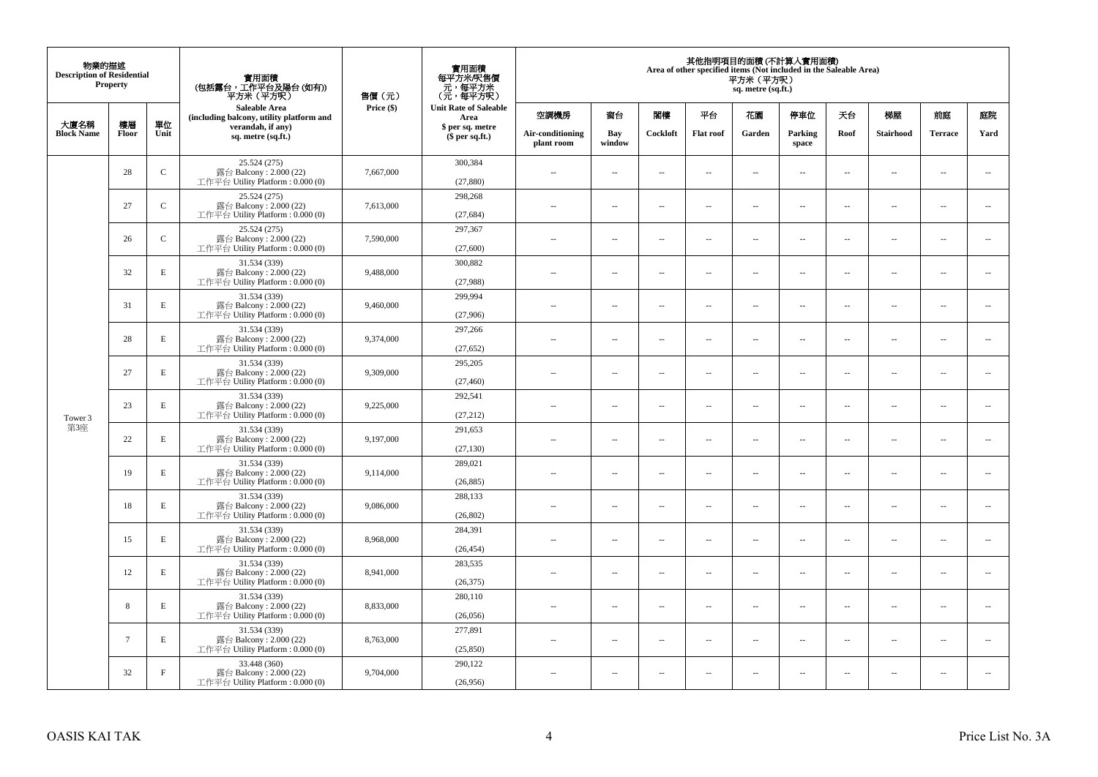| 物業的描述<br><b>Description of Residential</b> | <b>Property</b> |              | 實用面積<br>(包括露台,工作平台及陽台(如有))<br>平方米(平方呎)                                       | 售價(元)      | 實用面積<br>每平方米/呎售價<br>- 元, 每平方米<br>(元, 每平方呎) |                                |                          |                          |                  | 平方米(平方呎)<br>sq. metre (sq.ft.) | 其他指明項目的面積 (不計算入實用面積)<br>Area of other specified items (Not included in the Saleable Area) |                          |                          |                      |                          |
|--------------------------------------------|-----------------|--------------|------------------------------------------------------------------------------|------------|--------------------------------------------|--------------------------------|--------------------------|--------------------------|------------------|--------------------------------|-------------------------------------------------------------------------------------------|--------------------------|--------------------------|----------------------|--------------------------|
|                                            | 樓層              | 單位           | <b>Saleable Area</b><br>(including balcony, utility platform and             | Price (\$) | <b>Unit Rate of Saleable</b><br>Area       | 空調機房                           | 窗台                       | 閣樓                       | 平台               | 花園                             | 停車位                                                                                       | 天台                       | 梯屋                       | 前庭                   | 庭院                       |
| 大廈名稱<br><b>Block Name</b>                  | Floor           | Unit         | verandah, if any)<br>sq. metre (sq.ft.)                                      |            | \$ per sq. metre<br>$$$ per sq.ft.)        | Air-conditioning<br>plant room | Bay<br>window            | Cockloft                 | <b>Flat</b> roof | Garden                         | Parking<br>space                                                                          | Roof                     | Stairhood                | <b>Terrace</b>       | Yard                     |
|                                            | 28              | $\mathsf{C}$ | 25.524 (275)<br>露台 Balcony: 2.000 (22)<br>工作平台 Utility Platform: 0.000 (0)   | 7,667,000  | 300,384<br>(27, 880)                       | $\ddot{\phantom{a}}$           | $\overline{\phantom{a}}$ | $\sim$                   | μ.               | $\sim$                         | $\sim$                                                                                    | $\overline{\phantom{a}}$ | $\overline{\phantom{a}}$ | $\ddot{\phantom{a}}$ | $\overline{\phantom{a}}$ |
|                                            | 27              | $\mathbf C$  | 25.524 (275)<br>露台 Balcony: 2.000 (22)<br>工作平台 Utility Platform: 0.000 (0)   | 7,613,000  | 298,268<br>(27, 684)                       | $\sim$                         | $\overline{\phantom{a}}$ | $\sim$                   | μ.               | $\overline{a}$                 | $\sim$                                                                                    | $\sim$                   | $\overline{\phantom{a}}$ | $\ddot{\phantom{a}}$ | $\overline{\phantom{a}}$ |
|                                            | 26              | $\mathbf C$  | 25.524 (275)<br>露台 Balcony: 2.000 (22)<br>工作平台 Utility Platform : $0.000(0)$ | 7,590,000  | 297,367<br>(27,600)                        | $\sim$                         | $\overline{\phantom{a}}$ | $\sim$                   | μ.               | $\ldots$                       | $\overline{\phantom{a}}$                                                                  | $\overline{\phantom{a}}$ | $\overline{\phantom{a}}$ | $\ldots$             | $\overline{\phantom{a}}$ |
|                                            | 32              | E            | 31.534 (339)<br>露台 Balcony: 2.000 (22)<br>工作平台 Utility Platform: 0.000 (0)   | 9,488,000  | 300,882<br>(27,988)                        | $\sim$                         | $\sim$                   | $\sim$                   | $\sim$           | $\sim$ $\sim$                  | $\sim$                                                                                    | $\overline{\phantom{a}}$ | $\sim$                   | $\sim$               | $\overline{\phantom{a}}$ |
|                                            | 31              | $\mathbf E$  | 31.534 (339)<br>露台 Balcony: 2.000 (22)<br>工作平台 Utility Platform: 0.000 (0)   | 9,460,000  | 299,994<br>(27,906)                        |                                | $\overline{\phantom{a}}$ | $\sim$                   | $\overline{a}$   | $\sim$                         | $\sim$                                                                                    | $\sim$                   | Ξ.                       | $\ddot{\phantom{a}}$ | $\sim$                   |
|                                            | 28              | E            | 31.534 (339)<br>露台 Balcony: 2.000 (22)<br>工作平台 Utility Platform: 0.000 (0)   | 9,374,000  | 297,266<br>(27, 652)                       | $\sim$                         | $\overline{a}$           | $\sim$                   | $\sim$           | $\overline{a}$                 | $\sim$                                                                                    | $\sim$                   | $\overline{a}$           | $\overline{a}$       | $\sim$                   |
|                                            | 27              | $\mathbf E$  | 31.534 (339)<br>露台 Balcony: 2.000 (22)<br>工作平台 Utility Platform: 0.000 (0)   | 9,309,000  | 295,205<br>(27, 460)                       | $\sim$                         | ۰.                       | $\sim$                   | $\sim$           | $\overline{\phantom{a}}$       | $\sim$                                                                                    | $\overline{\phantom{a}}$ | $\overline{\phantom{a}}$ | $\sim$               | $\overline{\phantom{a}}$ |
| Tower 3                                    | 23              | E            | 31.534 (339)<br>露台 Balcony: 2.000 (22)<br>工作平台 Utility Platform: 0.000 (0)   | 9,225,000  | 292,541<br>(27, 212)                       | $\sim$                         | $\sim$                   | $\sim$                   | $\sim$           | $\sim$                         | $\sim$                                                                                    | $\overline{\phantom{a}}$ | $\sim$                   | $\sim$               | $\sim$                   |
| 第3座                                        | 22              | $\mathbf E$  | 31.534 (339)<br>露台 Balcony: 2.000 (22)<br>工作平台 Utility Platform: 0.000 (0)   | 9,197,000  | 291,653<br>(27, 130)                       | $\overline{\phantom{a}}$       | $\overline{\phantom{a}}$ | $\sim$                   | μ.               | $\sim$                         | $\sim$                                                                                    | $\overline{\phantom{a}}$ | $\sim$                   | $\ddot{\phantom{a}}$ | $\overline{\phantom{a}}$ |
|                                            | 19              | E            | 31.534 (339)<br>露台 Balcony: 2.000 (22)<br>工作平台 Utility Platform: 0.000 (0)   | 9,114,000  | 289,021<br>(26, 885)                       | $\sim$                         | $\overline{\phantom{a}}$ | $\sim$                   | μ.               | $\overline{a}$                 | $\sim$                                                                                    | $\sim$                   | $\sim$                   | $\ddot{\phantom{a}}$ | $\overline{\phantom{a}}$ |
|                                            | 18              | $\mathbf E$  | 31.534 (339)<br>露台 Balcony: 2.000 (22)<br>工作平台 Utility Platform : $0.000(0)$ | 9,086,000  | 288,133<br>(26, 802)                       | $\overline{\phantom{a}}$       | $\ldots$                 | $\sim$                   | $\sim$           | $\overline{\phantom{a}}$       | $\overline{\phantom{a}}$                                                                  | $\overline{\phantom{a}}$ | $\overline{a}$           | $\ldots$             | $\sim$                   |
|                                            | 15              | E            | 31.534 (339)<br>露台 Balcony: 2.000 (22)<br>工作平台 Utility Platform: 0.000 (0)   | 8,968,000  | 284,391<br>(26, 454)                       | ×.                             | $\sim$                   | $\sim$                   | $\sim$           | $\sim$ $\sim$                  | $\sim$                                                                                    | $\overline{\phantom{a}}$ | $\sim$                   | $\sim$               | $\sim$                   |
|                                            | 12              | E            | 31.534 (339)<br>露台 Balcony: 2.000 (22)<br>工作平台 Utility Platform : 0.000 (0)  | 8,941,000  | 283,535<br>(26, 375)                       | $\overline{\phantom{a}}$       | $\overline{\phantom{a}}$ | $\sim$                   | $\overline{a}$   | $\overline{\phantom{a}}$       | $\sim$                                                                                    | $\overline{\phantom{a}}$ | $\overline{\phantom{a}}$ | $\ddot{\phantom{a}}$ | $\sim$                   |
|                                            | 8               | E            | 31.534 (339)<br>露台 Balcony: 2.000 (22)<br>工作平台 Utility Platform: 0.000 (0)   | 8,833,000  | 280,110<br>(26,056)                        | $\sim$                         | $\overline{\phantom{a}}$ | $\sim$                   | $\sim$           | $\overline{a}$                 | $\sim$                                                                                    | $\sim$                   | $\overline{\phantom{a}}$ | $\ddot{\phantom{a}}$ | $\sim$                   |
|                                            | $7\phantom{.0}$ | $\mathbf E$  | 31.534 (339)<br>露台 Balcony: 2.000 (22)<br>工作平台 Utility Platform: 0.000 (0)   | 8,763,000  | 277,891<br>(25, 850)                       | $\sim$ $-$                     | $\overline{\phantom{a}}$ | $\sim$                   | μ.               | $\overline{\phantom{a}}$       | $\sim$                                                                                    | $\overline{\phantom{a}}$ | $\overline{\phantom{a}}$ | $\ddot{\phantom{a}}$ | $\sim$                   |
|                                            | 32              | $\rm F$      | 33.448 (360)<br>露台 Balcony: 2.000 (22)<br>工作平台 Utility Platform: 0.000 (0)   | 9,704,000  | 290,122<br>(26,956)                        | 44                             | $\overline{\phantom{a}}$ | $\overline{\phantom{a}}$ | --               | $\overline{\phantom{a}}$       | $\overline{\phantom{a}}$                                                                  | $\overline{\phantom{a}}$ | $\overline{\phantom{a}}$ | $\ddotsc$            | $\sim$                   |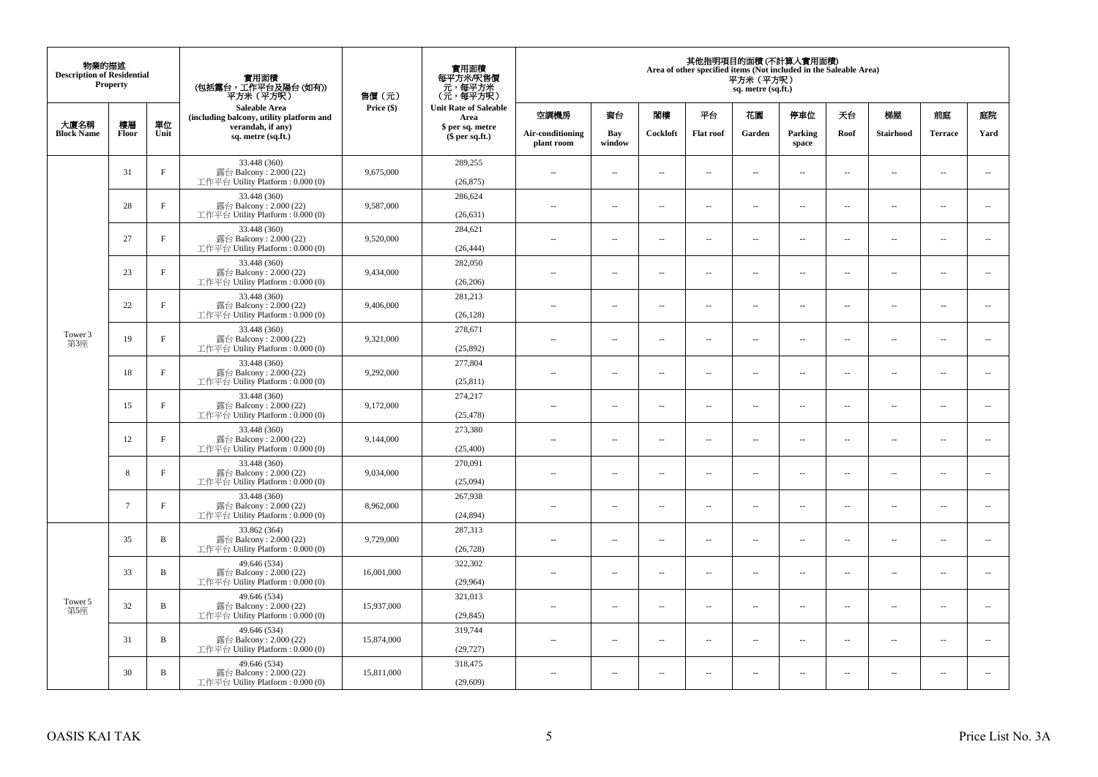| 物業的描述<br><b>Description of Residential</b> | <b>Property</b> |              | 實用面積<br>(包括露台,工作平台及陽台 (如有))<br>平方米 (平方呎)<br><b>Saleable Area</b>             | 售價(元)      | 實用面積<br>每平方米/呎售價<br>- 元, 每平方米<br>(元, 每平方呎) | 其他指明項目的面積 (不計算入實用面積)<br>Area of other specified items (Not included in the Saleable Area)<br>平方米(平方呎)<br>sq. metre (sq.ft.) |                          |                          |                          |                                     |                                |                          |                          |                  |                          |                  |      |           |                |      |
|--------------------------------------------|-----------------|--------------|------------------------------------------------------------------------------|------------|--------------------------------------------|-----------------------------------------------------------------------------------------------------------------------------|--------------------------|--------------------------|--------------------------|-------------------------------------|--------------------------------|--------------------------|--------------------------|------------------|--------------------------|------------------|------|-----------|----------------|------|
|                                            |                 |              | (including balcony, utility platform and                                     | Price (\$) | <b>Unit Rate of Saleable</b><br>Area       | 空調機房                                                                                                                        | 窗台                       | 閣樓                       | 平台                       | 花園                                  | 停車位                            | 天台                       | 梯屋                       | 前庭               | 庭院                       |                  |      |           |                |      |
| 大廈名稱<br><b>Block Name</b>                  | 樓層<br>Floor     | 單位<br>Unit   | verandah, if any)<br>sq. metre (sq.ft.)                                      |            |                                            |                                                                                                                             |                          |                          |                          | \$ per sq. metre<br>$$$ per sq.ft.) | Air-conditioning<br>plant room | Bay<br>window            | Cockloft                 | <b>Flat roof</b> | Garden                   | Parking<br>space | Roof | Stairhood | <b>Terrace</b> | Yard |
|                                            | 31              | $\rm F$      | 33.448 (360)<br>露台 Balcony: 2.000 (22)<br>工作平台 Utility Platform: 0.000 (0)   | 9,675,000  | 289,255<br>(26, 875)                       | $\sim$                                                                                                                      | $\overline{\phantom{a}}$ | $\ddotsc$                | $\sim$                   | μ.                                  | $\sim$                         | $\overline{\phantom{a}}$ | $\overline{\phantom{a}}$ | $\sim$           | $\sim$                   |                  |      |           |                |      |
|                                            | 28              | $_{\rm F}$   | 33.448 (360)<br>露台 Balcony: 2.000 (22)<br>工作平台 Utility Platform : $0.000(0)$ | 9,587,000  | 286,624<br>(26, 631)                       | $\sim$                                                                                                                      | $\sim$                   | ÷.                       | $\sim$                   | μ.                                  | $\sim$                         | $\sim$                   | $\overline{\phantom{a}}$ | $\sim$           | $\sim$                   |                  |      |           |                |      |
|                                            | 27              | $_{\rm F}$   | 33.448 (360)<br>露台 Balcony: 2.000 (22)<br>工作平台 Utility Platform : $0.000(0)$ | 9,520,000  | 284,621<br>(26, 444)                       | $-$                                                                                                                         | ÷.                       | $\sim$                   | $\sim$                   | μ.                                  | $\sim$                         | $\overline{\phantom{a}}$ | $\overline{\phantom{a}}$ | $\sim$           | $\overline{\phantom{a}}$ |                  |      |           |                |      |
|                                            | 23              | $\rm F$      | 33.448 (360)<br>露台 Balcony: 2.000 (22)<br>工作平台 Utility Platform: 0.000 (0)   | 9,434,000  | 282,050<br>(26, 206)                       | $\sim$                                                                                                                      | $\overline{\phantom{a}}$ | $\sim$                   | $\sim$                   | $\sim$                              | $\sim$                         | $\sim$                   | $\sim$                   | $\sim$           | $\sim$                   |                  |      |           |                |      |
|                                            | 22              | $\rm F$      | 33.448 (360)<br>露台 Balcony: 2.000 (22)<br>工作平台 Utility Platform: 0.000 (0)   | 9,406,000  | 281,213<br>(26, 128)                       |                                                                                                                             | $\sim$                   | $\ddotsc$                | $\sim$                   | $\overline{\phantom{a}}$            | $\sim$                         | $\sim$                   | $\overline{\phantom{a}}$ | $\sim$           | $\sim$                   |                  |      |           |                |      |
| Tower 3<br>第3座                             | 19              | $_{\rm F}$   | 33.448 (360)<br>露台 Balcony: 2.000 (22)<br>工作平台 Utility Platform: 0.000 (0)   | 9,321,000  | 278,671<br>(25,892)                        | $\sim$                                                                                                                      | $\sim$                   | $\sim$                   | $\sim$                   | $\overline{a}$                      | $\sim$                         | $\sim$                   | $\overline{\phantom{a}}$ | $\sim$           | $\sim$                   |                  |      |           |                |      |
|                                            | 18              | $_{\rm F}$   | 33.448 (360)<br>露台 Balcony: 2.000 (22)<br>工作平台 Utility Platform : $0.000(0)$ | 9,292,000  | 277,804<br>(25, 811)                       | $\sim$                                                                                                                      | $\overline{\phantom{a}}$ | $\overline{\phantom{a}}$ | $\sim$                   | ۰.                                  | $\sim$                         | $\overline{\phantom{a}}$ | ۰.                       | $\sim$           | $\overline{\phantom{a}}$ |                  |      |           |                |      |
|                                            | 15              | $\mathbf{F}$ | 33.448 (360)<br>露台 Balcony: 2.000 (22)<br>工作平台 Utility Platform: 0.000 (0)   | 9,172,000  | 274,217<br>(25, 478)                       | $\sim$                                                                                                                      | $\sim$                   | $\sim$                   | $\sim$                   | $\overline{a}$                      | $\sim$                         | $\sim$                   | $\sim$                   | $\sim$           | $\sim$                   |                  |      |           |                |      |
|                                            | 12              | $_{\rm F}$   | 33.448 (360)<br>露台 Balcony: 2.000 (22)<br>工作平台 Utility Platform: 0.000 (0)   | 9,144,000  | 273,380<br>(25, 400)                       | $\overline{a}$                                                                                                              | $\sim$                   | $\sim$                   | $\sim$                   | μ.                                  | $\sim$                         | $\overline{\phantom{a}}$ | $\overline{\phantom{a}}$ | $\sim$           | $\overline{\phantom{a}}$ |                  |      |           |                |      |
|                                            | 8               | $_{\rm F}$   | 33.448 (360)<br>露台 Balcony: 2.000 (22)<br>工作平台 Utility Platform: 0.000 (0)   | 9,034,000  | 270,091<br>(25,094)                        | $\overline{a}$                                                                                                              | $\sim$                   | ÷.                       | $\sim$                   | μ.                                  | $\sim$                         | $\sim$                   | $\overline{\phantom{a}}$ | $\sim$           | $\sim$                   |                  |      |           |                |      |
|                                            | $7\phantom{.0}$ | $_{\rm F}$   | 33.448 (360)<br>露台 Balcony: 2.000 (22)<br>工作平台 Utility Platform: 0.000 (0)   | 8,962,000  | 267,938<br>(24, 894)                       | $-$                                                                                                                         | ÷.                       | $\sim$                   | $\sim$                   | $\overline{a}$                      | $\sim$                         | $\overline{\phantom{a}}$ | $\overline{\phantom{a}}$ | $\sim$           | $\sim$                   |                  |      |           |                |      |
|                                            | 35              | B            | 33.862 (364)<br>露台 Balcony: 2.000 (22)<br>工作平台 Utility Platform: 0.000 (0)   | 9,729,000  | 287,313<br>(26, 728)                       | $\sim$                                                                                                                      | $\sim$                   | $\sim$                   | $\sim$                   | $\overline{a}$                      | $\sim$                         | $\sim$                   | $\sim$                   | $\sim$           | $\sim$                   |                  |      |           |                |      |
| Tower 5<br>第5座                             | 33              | B            | 49.646 (534)<br>露台 Balcony: 2.000 (22)<br>工作平台 Utility Platform: 0.000 (0)   | 16,001,000 | 322,302<br>(29,964)                        | $\overline{a}$                                                                                                              | $\sim$                   | $\overline{\phantom{a}}$ | $\sim$                   | μ.                                  | $\sim$                         | $\sim$                   | $\overline{\phantom{a}}$ | $\sim$           | $\sim$                   |                  |      |           |                |      |
|                                            | 32              | B            | 49.646 (534)<br>露台 Balcony: 2.000 (22)<br>工作平台 Utility Platform : $0.000(0)$ | 15,937,000 | 321,013<br>(29, 845)                       | $\overline{a}$                                                                                                              | $\overline{\phantom{a}}$ | $\sim$                   | $\sim$                   | $\overline{a}$                      | $\sim$                         | $\sim$                   | $\overline{\phantom{a}}$ | $\sim$           | $\sim$                   |                  |      |           |                |      |
|                                            | 31              | B            | 49.646 (534)<br>露台 Balcony: 2.000 (22)<br>工作平台 Utility Platform : $0.000(0)$ | 15,874,000 | 319,744<br>(29, 727)                       | $-$                                                                                                                         | $\sim$                   | $\sim$                   | $\sim$                   | ۰.                                  | $\sim$                         | $\overline{\phantom{a}}$ | $\overline{\phantom{a}}$ | $\sim$           | $\sim$                   |                  |      |           |                |      |
|                                            | 30              | B            | 49.646 (534)<br>露台 Balcony: 2.000 (22)<br>工作平台 Utility Platform: 0.000 (0)   | 15,811,000 | 318,475<br>(29,609)                        | ٠.                                                                                                                          | $\overline{\phantom{a}}$ | $\ddotsc$                | $\overline{\phantom{a}}$ | $\overline{\phantom{a}}$            | $\sim$                         | $\overline{\phantom{a}}$ | $\overline{\phantom{a}}$ | 4                | $\sim$                   |                  |      |           |                |      |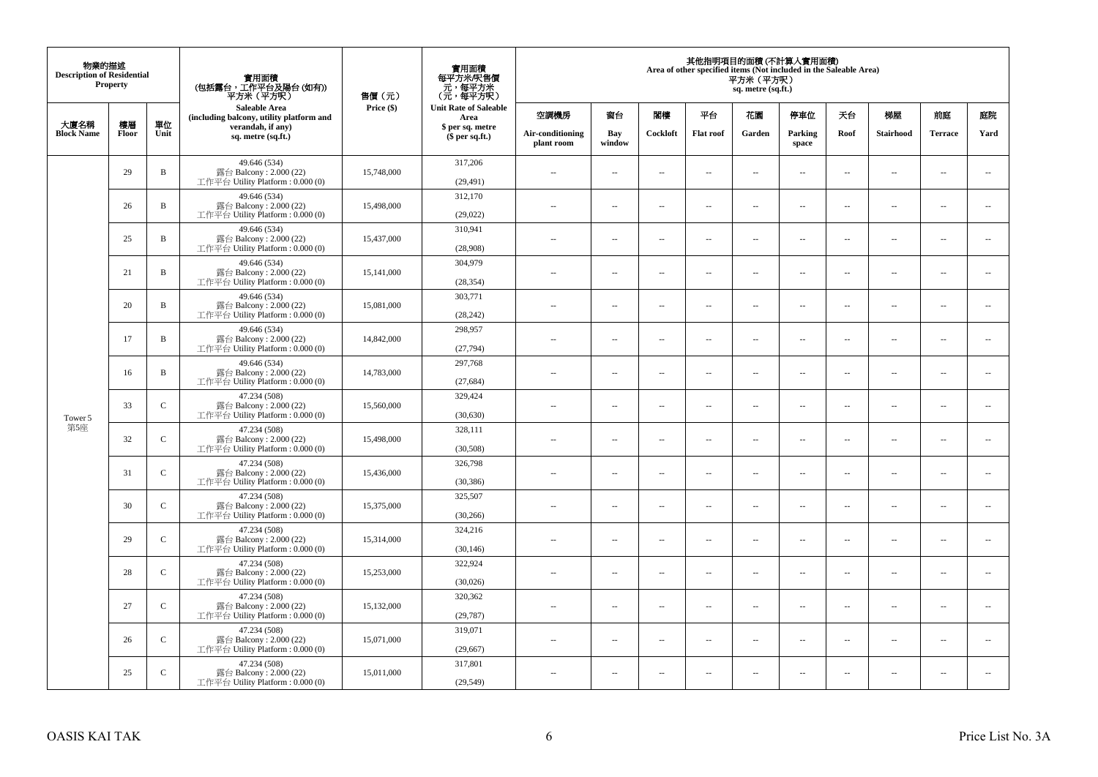| 物業的描述<br><b>Description of Residential</b> | <b>Property</b> |               | 實用面積<br>(包括露台,工作平台及陽台(如有))<br>平方米(平方呎)                                      | 售價(元)      | 實用面積<br>每平方米/呎售價<br>- 元, 每平方米<br>(元, 每平方呎) |                                |                          |                          | Area of other specified items (Not included in the Saleable Area) | 平方米 (平方呎)<br>sq. metre (sq.ft.) | 其他指明項目的面積 (不計算入實用面積)     |                          |                          |                          |                          |
|--------------------------------------------|-----------------|---------------|-----------------------------------------------------------------------------|------------|--------------------------------------------|--------------------------------|--------------------------|--------------------------|-------------------------------------------------------------------|---------------------------------|--------------------------|--------------------------|--------------------------|--------------------------|--------------------------|
| 大廈名稱                                       | 樓層              | 單位            | <b>Saleable Area</b><br>(including balcony, utility platform and            | Price (\$) | <b>Unit Rate of Saleable</b><br>Area       | 空調機房                           | 窗台                       | 閣樓                       | 平台                                                                | 花園                              | 停車位                      | 天台                       | 梯屋                       | 前庭                       | 庭院                       |
| <b>Block Name</b>                          | Floor           | Unit          | verandah, if any)<br>sq. metre (sq.ft.)                                     |            | \$ per sq. metre<br>\$per sq.ft.)          | Air-conditioning<br>plant room | Bay<br>window            | Cockloft                 | <b>Flat</b> roof                                                  | Garden                          | Parking<br>space         | Roof                     | Stairhood                | <b>Terrace</b>           | Yard                     |
|                                            | 29              | $\, {\bf B}$  | 49.646 (534)<br>露台 Balcony: 2.000 (22)<br>工作平台 Utility Platform: 0.000 (0)  | 15,748,000 | 317,206<br>(29, 491)                       | $\ddot{\phantom{a}}$           | $\overline{\phantom{a}}$ | $\sim$                   | μ.                                                                | $\sim$                          | $\sim$                   | $\overline{\phantom{a}}$ | Ξ.                       | $\ddot{\phantom{a}}$     | $\overline{\phantom{a}}$ |
|                                            | 26              | $\, {\bf B}$  | 49.646 (534)<br>露台 Balcony: 2.000 (22)<br>工作平台 Utility Platform: 0.000 (0)  | 15,498,000 | 312,170<br>(29,022)                        | $\sim$                         | $\overline{a}$           | $\sim$                   | $\sim$                                                            | $\sim$                          | $\sim$                   | $\sim$                   | $\sim$                   | $\sim$                   | $\mathbf{u}$             |
|                                            | 25              | $\, {\bf B}$  | 49.646 (534)<br>露台 Balcony: 2.000 (22)<br>工作平台 Utility Platform: 0.000 (0)  | 15,437,000 | 310,941<br>(28,908)                        | $\sim$                         | $\overline{\phantom{a}}$ | $\overline{\phantom{a}}$ | --                                                                | $\overline{\phantom{a}}$        | $\overline{\phantom{a}}$ | $\overline{\phantom{a}}$ | $\overline{\phantom{a}}$ | $\overline{\phantom{a}}$ | $\overline{\phantom{a}}$ |
|                                            | 21              | B             | 49.646 (534)<br>露台 Balcony: 2.000 (22)<br>工作平台 Utility Platform: 0.000 (0)  | 15,141,000 | 304,979<br>(28, 354)                       | $\sim$                         | $\overline{\phantom{a}}$ | $\sim$                   | $\sim$                                                            | $\overline{\phantom{a}}$        | $\sim$                   | $\sim$                   | $\sim$                   | $\overline{\phantom{a}}$ | $\sim$                   |
|                                            | 20              | B             | 49.646 (534)<br>露台 Balcony: 2.000 (22)<br>工作平台 Utility Platform: 0.000 (0)  | 15,081,000 | 303,771<br>(28, 242)                       |                                | μ.                       | ÷.                       | μ.                                                                | $\sim$                          | $\sim$                   | $\sim$                   | Ξ.                       | $\ddot{\phantom{a}}$     | $\sim$                   |
|                                            | 17              | $\, {\bf B}$  | 49.646 (534)<br>露台 Balcony: 2.000 (22)<br>工作平台 Utility Platform: 0.000 (0)  | 14,842,000 | 298,957<br>(27,794)                        | ×.                             | $\sim$                   | $\sim$                   | $\sim$                                                            | $\sim$                          | $\sim$                   | $\sim$                   | $\overline{a}$           | $\sim$                   | $\sim$                   |
|                                            | 16              | $\, {\bf B}$  | 49.646 (534)<br>露台 Balcony: 2.000 (22)<br>工作平台 Utility Platform: 0.000 (0)  | 14,783,000 | 297,768<br>(27, 684)                       | $\sim$                         | $\overline{\phantom{a}}$ | $\sim$                   | $\overline{\phantom{a}}$                                          | $\overline{\phantom{a}}$        | $\overline{\phantom{a}}$ | $\overline{\phantom{a}}$ | $\overline{\phantom{a}}$ | $\overline{\phantom{a}}$ | $\overline{\phantom{a}}$ |
| Tower 5                                    | 33              | $\mathsf{C}$  | 47.234 (508)<br>露台 Balcony: 2.000 (22)<br>工作平台 Utility Platform: 0.000 (0)  | 15,560,000 | 329,424<br>(30,630)                        | $\sim$                         | $\overline{a}$           | $\sim$                   | $\sim$                                                            | $\overline{a}$                  | $\sim$                   | $\overline{\phantom{a}}$ | $\overline{\phantom{a}}$ | $\sim$                   | $\overline{\phantom{a}}$ |
| 第5座                                        | 32              | $\mathbf C$   | 47.234 (508)<br>露台 Balcony: 2.000 (22)<br>工作平台 Utility Platform: 0.000 (0)  | 15,498,000 | 328,111<br>(30,508)                        | $\overline{\phantom{a}}$       | $\sim$                   | $\sim$                   | $\sim$                                                            | $\sim$                          | $\sim$                   | $\overline{\phantom{a}}$ | $\overline{a}$           | $\sim$                   | $\ddot{\phantom{a}}$     |
|                                            | 31              | $\mathbf C$   | 47.234 (508)<br>露台 Balcony: 2.000 (22)<br>工作平台 Utility Platform : 0.000 (0) | 15,436,000 | 326,798<br>(30, 386)                       | $\sim$                         | $\sim$                   | $\sim$                   | $\sim$                                                            | $\sim$ $\sim$                   | $\overline{\phantom{a}}$ | $\sim$                   | $\sim$                   | $\overline{\phantom{a}}$ | $\overline{\phantom{a}}$ |
|                                            | 30              | $\mathbf C$   | 47.234 (508)<br>露台 Balcony: 2.000 (22)<br>工作平台 Utility Platform : 0.000 (0) | 15,375,000 | 325,507<br>(30, 266)                       |                                | $\overline{\phantom{a}}$ | $\sim$                   | μ.                                                                | $\sim$                          | $\sim$                   | $\overline{\phantom{a}}$ | Ξ.                       | $\ddot{\phantom{a}}$     | $\sim$                   |
|                                            | 29              | $\mathcal{C}$ | 47.234 (508)<br>露台 Balcony: 2.000 (22)<br>工作平台 Utility Platform : 0.000 (0) | 15,314,000 | 324,216<br>(30, 146)                       | $\sim$                         | $\overline{a}$           | $\sim$                   | $\sim$                                                            | $\overline{a}$                  | $\sim$                   | $\overline{\phantom{a}}$ | $\overline{\phantom{a}}$ | $\sim$                   | $\sim$                   |
|                                            | 28              | $\mathsf C$   | 47.234 (508)<br>露台 Balcony: 2.000 (22)<br>工作平台 Utility Platform : 0.000 (0) | 15,253,000 | 322,924<br>(30,026)                        | 44                             | $\overline{\phantom{a}}$ | $\sim$                   | μ.                                                                | $\overline{\phantom{a}}$        | $\sim$                   | $\overline{\phantom{a}}$ | Ξ.                       | $\ddot{\phantom{a}}$     | $\sim$                   |
|                                            | 27              | $\mathsf{C}$  | 47.234 (508)<br>露台 Balcony: 2.000 (22)<br>工作平台 Utility Platform : 0.000 (0) | 15,132,000 | 320,362<br>(29, 787)                       | $\sim$                         | $\sim$                   | $\sim$                   | $\sim$                                                            | $\sim$ $\sim$                   | $\sim$                   | $\sim$                   | $\sim$                   | $\sim$                   | $\sim$                   |
|                                            | 26              | $\mathsf{C}$  | 47.234 (508)<br>露台 Balcony: 2.000 (22)<br>工作平台 Utility Platform: 0.000 (0)  | 15,071,000 | 319,071<br>(29,667)                        | $\sim$                         | $\overline{\phantom{a}}$ | $\sim$                   | μ.                                                                | $\overline{\phantom{a}}$        | $\sim$                   | $\overline{\phantom{a}}$ | $\overline{\phantom{a}}$ | $\sim$                   | $\sim$                   |
|                                            | 25              | $\mathsf{C}$  | 47.234 (508)<br>露台 Balcony: 2.000 (22)<br>工作平台 Utility Platform: 0.000 (0)  | 15,011,000 | 317,801<br>(29, 549)                       | $\sim$                         | $\sim$                   | $\sim$                   | $\sim$                                                            | $\sim$ $\sim$                   | $\sim$                   | $\overline{\phantom{a}}$ | $\sim$                   | $\sim$                   | $\sim$                   |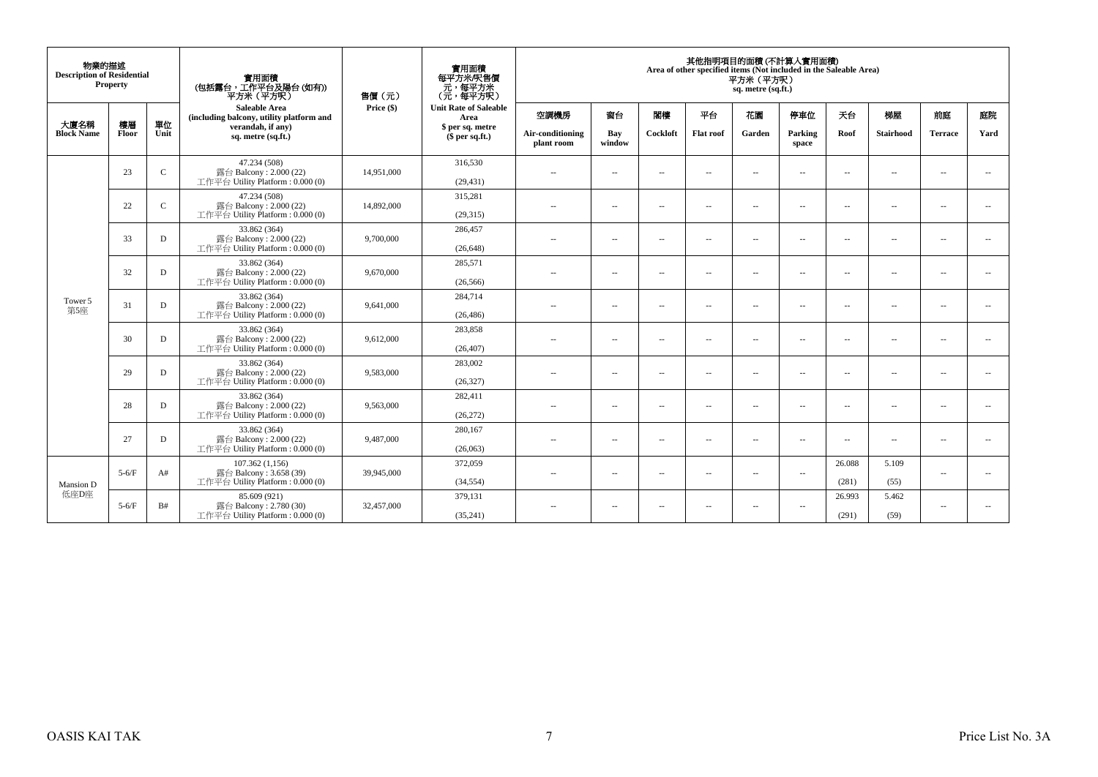| 物業的描述<br><b>Description of Residential</b><br>Property |             |              | 實用面積<br>(包括露台,工作平台及陽台(如有))<br>平方米(平方呎)                                       | 售價(元)      | 實用面積<br>每平方米/呎售價<br>元,每平方米<br>(元,每平方呎) | 其他指明項目的面積 (不計算入實用面積)<br>Area of other specified items (Not included in the Saleable Area)<br>平方米 (平方呎)<br>sq. metre (sq.ft.) |                          |                          |                          |                          |                          |                 |                          |                |                          |
|--------------------------------------------------------|-------------|--------------|------------------------------------------------------------------------------|------------|----------------------------------------|------------------------------------------------------------------------------------------------------------------------------|--------------------------|--------------------------|--------------------------|--------------------------|--------------------------|-----------------|--------------------------|----------------|--------------------------|
|                                                        |             |              | <b>Saleable Area</b><br>(including balcony, utility platform and             | Price (\$) | <b>Unit Rate of Saleable</b><br>Area   | 空調機房                                                                                                                         | 窗台                       | 閣樓                       | 平台                       | 花園                       | 停車位                      | 天台              | 梯屋                       | 前庭             | 庭院                       |
| 大廈名稱<br><b>Block Name</b>                              | 樓層<br>Floor | 單位<br>Unit   | verandah, if any)<br>sq. metre (sq.ft.)                                      |            | \$ per sq. metre<br>$$$ per sq.ft.)    | Air-conditioning<br>plant room                                                                                               | Bay<br>window            | Cockloft                 | <b>Flat roof</b>         | Garden                   | Parking<br>space         | Roof            | <b>Stairhood</b>         | <b>Terrace</b> | Yard                     |
|                                                        | 23          | $\mathbf{C}$ | 47.234 (508)<br>露台 Balcony: 2.000 (22)<br>工作平台 Utility Platform: 0.000 (0)   | 14,951,000 | 316,530<br>(29, 431)                   | $\sim$ $\sim$                                                                                                                | $\sim$                   | $\sim$                   | $\overline{\phantom{a}}$ | $\overline{\phantom{a}}$ | $\sim$                   | $\sim$          | $\overline{\phantom{a}}$ | $\sim$         | $\sim$                   |
|                                                        | 22          | $\mathbf{C}$ | 47.234 (508)<br>露台 Balcony: 2.000 (22)<br>工作平台 Utility Platform: 0.000 (0)   | 14,892,000 | 315,281<br>(29,315)                    | $\sim$                                                                                                                       | $\sim$                   | $\sim$                   | $\sim$                   | $\overline{\phantom{a}}$ | <b>A</b>                 | $\sim$          | $\sim$                   | - 11           | $\sim$                   |
|                                                        | 33          | D            | 33.862 (364)<br>露台 Balcony: 2.000 (22)<br>工作平台 Utility Platform: 0.000 (0)   | 9,700,000  | 286,457<br>(26, 648)                   | $-$                                                                                                                          | $\sim$                   | $\sim$                   | $\overline{\phantom{a}}$ | $\overline{\phantom{a}}$ | $\sim$                   | $\sim$          | $\sim$                   | $\sim$         | $\overline{\phantom{a}}$ |
| Tower 5<br>第5座                                         | 32          | D            | 33.862 (364)<br>露台 Balcony: 2.000 (22)<br>工作平台 Utility Platform: 0.000 (0)   | 9,670,000  | 285,571<br>(26, 566)                   | $\sim$                                                                                                                       | $\overline{\phantom{a}}$ | $\sim$                   | $\sim$                   | $\overline{a}$           | $\sim$                   | $\sim$          | $\sim$                   | $\sim$         | $\sim$                   |
|                                                        | 31          | D            | 33.862 (364)<br>露台 Balcony: $2.000(22)$<br>工作平台 Utility Platform: 0.000 (0)  | 9,641,000  | 284,714<br>(26, 486)                   | $\sim$ $\sim$                                                                                                                | $\sim$                   | $\overline{\phantom{a}}$ | $\sim$                   | $\overline{\phantom{a}}$ | $\sim$                   | $\sim$          | $\sim$                   | $\sim$         | $\overline{\phantom{a}}$ |
|                                                        | 30          | D            | 33.862 (364)<br>露台 Balcony: 2.000 (22)<br>工作平台 Utility Platform: 0.000 (0)   | 9,612,000  | 283,858<br>(26, 407)                   | $\sim$ $\sim$                                                                                                                | $\sim$                   | $\sim$                   | $\sim$                   | $\overline{\phantom{a}}$ | $\sim$                   | $\sim$          | $\overline{\phantom{a}}$ | $\sim$         | $\sim$                   |
|                                                        | 29          | D            | 33.862 (364)<br>露台 Balcony: 2.000 (22)<br>工作平台 Utility Platform: 0.000 (0)   | 9.583,000  | 283,002<br>(26, 327)                   | $-$                                                                                                                          | $\sim$                   | $\overline{\phantom{a}}$ | $\sim$                   | $\sim$                   | $\sim$                   | $\sim$          | $\overline{\phantom{a}}$ | $\sim$         | $\sim$                   |
|                                                        | 28          | D            | 33.862 (364)<br>露台 Balcony: 2.000 (22)<br>工作平台 Utility Platform: 0.000 (0)   | 9,563,000  | 282,411<br>(26,272)                    | $\sim$ $-$                                                                                                                   | $\overline{\phantom{a}}$ | $\sim$                   | $\sim$                   | $\overline{\phantom{a}}$ | $\overline{\phantom{a}}$ | $\sim$          | $\overline{\phantom{a}}$ | $\sim$         | $\sim$                   |
|                                                        | 27          | D            | 33.862 (364)<br>露台 Balcony: $2.000(22)$<br>工作平台 Utility Platform: 0.000 (0)  | 9,487,000  | 280,167<br>(26,063)                    | $\sim$                                                                                                                       | $\overline{\phantom{a}}$ | $\sim$                   | $\sim$                   | $\overline{\phantom{a}}$ | $\sim$                   | $\sim$          | $\overline{\phantom{a}}$ | $\sim$         | $\sim$                   |
| Mansion D                                              | $5-6/F$     | A#           | 107.362(1,156)<br>露台 Balcony: 3.658 (39)<br>工作平台 Utility Platform: 0.000 (0) | 39,945,000 | 372,059<br>(34, 554)                   | $\sim$ $-$                                                                                                                   | $\overline{\phantom{a}}$ | $\sim$                   | $\sim$                   | $\overline{\phantom{a}}$ | $\sim$                   | 26.088<br>(281) | 5.109<br>(55)            | $\sim$         | $\sim$                   |
| 低座D座                                                   | $5-6/F$     | B#           | 85,609 (921)<br>露台 Balcony: 2.780 (30)<br>工作平台 Utility Platform: 0.000 (0)   | 32,457,000 | 379,131<br>(35,241)                    | $\sim$ $-$                                                                                                                   | $\sim$                   | $\sim$ $\sim$            | $\sim$                   | $\overline{\phantom{a}}$ | $\sim$                   | 26.993<br>(291) | 5.462<br>(59)            | $\sim$         | $\overline{\phantom{a}}$ |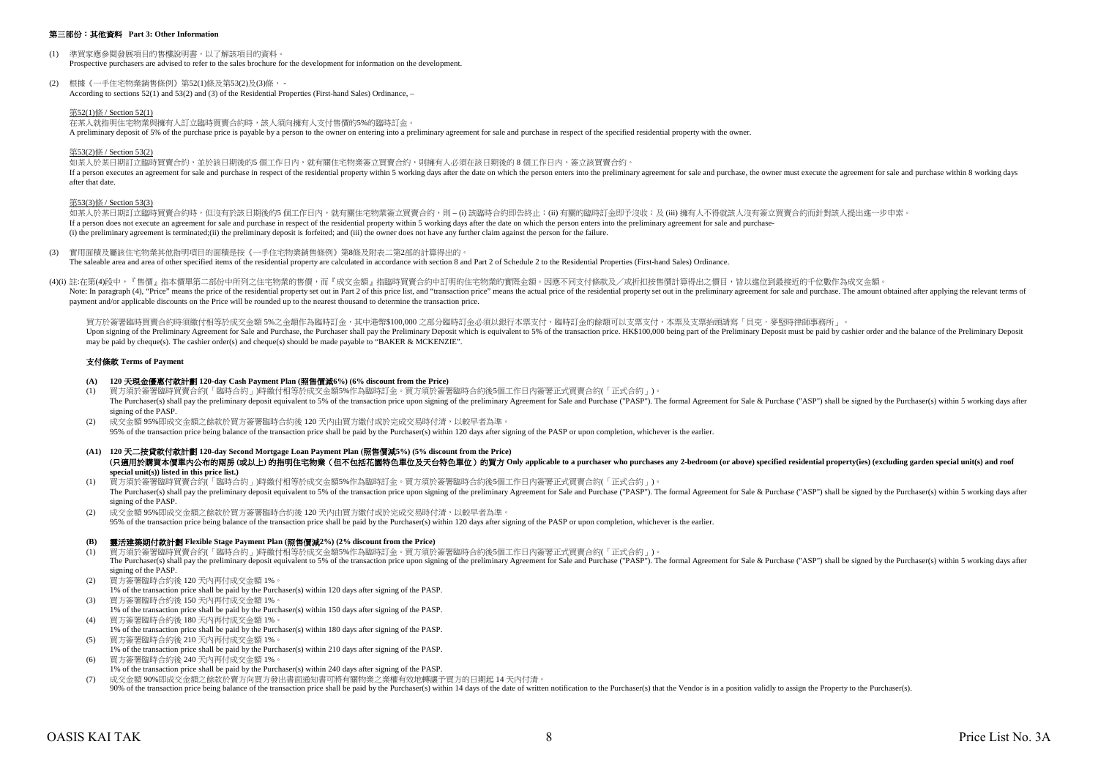#### 第三部份:其他資料 **Part 3: Other Information**

- (1) 準買家應參閱發展項目的售樓說明書,以了解該項目的資料。 Prospective purchasers are advised to refer to the sales brochure for the development for information on the development.
- (2) 根據《一手住宅物業銷售條例》第52(1)條及第53(2)及(3)條, According to sections 52(1) and 53(2) and (3) of the Residential Properties (First-hand Sales) Ordinance, –

#### 第52(1)條 / Section 52(1)

在某人就指明住宅物業與擁有人訂立臨時買賣合約時,該人須向擁有人支付售價的5%的臨時訂金。 A preliminary deposit of 5% of the purchase price is payable by a person to the owner on entering into a preliminary agreement for sale and purchase in respect of the specified residential property with the owner.

#### 第53(2)條 / Section 53(2)

如某人於某日期訂立臨時買賣合約,並於該日期後的5 個工作日內,就有關住宅物業簽立買賣合約,則擁有人必須在該日期後的 8 個工作日内,簽立該買賣合約。 If a person executes an agreement for sale and purchase in respect of the residential property within 5 working days after the date on which the person enters into the person enters into the pertent for sale and purchase, after that date.

#### 第53(3)條 / Section 53(3)

如某人於某日期訂立臨時買賣合約時,但沒有於該日期後的5 個工作日內,就有關住宅物業签立買賣合約,則 – (i) 該臨時合約即告終止;(ii) 有關的臨時訂全即予沒收;及 (iii) 擁有人不得就該人沒有签立買賣合約而針對該人提出進一步申索 If a person does not execute an agreement for sale and purchase in respect of the residential property within 5 working days after the date on which the person enters into the preliminary agreement for sale and purchase-(i) the preliminary agreement is terminated;(ii) the preliminary deposit is forfeited; and (iii) the owner does not have any further claim against the person for the failure.

(3) 實用面積及屬該住宅物業其他指明項目的面積是按《一手住宅物業銷售條例》第8條及附表二第2部的計算得出的。 The saleable area and area of other specified items of the residential property are calculated in accordance with section 8 and Part 2 of Schedule 2 to the Residential Properties (First-hand Sales) Ordinance.

(4)(i) 註:在第(4)段中,『售價』指本價單第二部份中所列之住宅物業的售價,而『成交金額』指臨時買賣合約中訂明的住宅物業的實際金額。因應不同支付條款及/或折扣按售價計算得出之價目,皆以進位到最接近的千位數作為成交金額。 Note: In paragraph (4), "Price" means the price of the residential property set out in Part 2 of this price list, and "transaction price" means the actual price of the residential property set out in the preliminary agreem payment and/or applicable discounts on the Price will be rounded up to the nearest thousand to determine the transaction price.

買方於簽署臨時買賣合約時須繳付相等於成交金額 5%之金額作為臨時訂金,其中港幣\$100,000 之部分臨時訂金必須以銀行本票支付,臨時訂金的餘額可以支票支付,本票及支票抬頭請寫「貝克·麥堅時律師事務所」。 Upon signing of the Preliminary Agreement for Sale and Purchase, the Purchaser shall nay the Preliminary Deposit which is equivalent to 5% of the transaction price. HK\$100,000 being part of the Preliminary Deposit must be may be paid by cheque(s). The cashier order(s) and cheque(s) should be made payable to "BAKER & MCKENZIE".

#### 支付條款 **Terms of Payment**

## **(A) 120** 天現金優惠付款計劃 **120-day Cash Payment Plan (**照售價減**6%) (6% discount from the Price)**

- (1) 買方須於簽署臨時買賣合約(「臨時合約」)時繳付相等於成交金額5%作為臨時訂金。買方須於簽署臨時合約後5個工作日內簽署正式買賣合約(「正式合約」)。 The Purchaser(s) shall pay the preliminary deposit equivalent to 5% of the transaction price upon signing of the preliminary Agreement for Sale and Purchase ("PASP"). The formal Agreement for Sale & Purchase ("ASP") shall signing of the PASP.
- 成交金額 95%即成交金額之餘款於買方簽署臨時合約後 120 天內由買方繳付或於完成交易時付清,以較早者為準。 95% of the transaction price being balance of the transaction price shall be paid by the Purchaser(s) within 120 days after signing of the PASP or upon completion, whichever is the earlier.
- **(A1) 120** 天二按貸款付款計劃 **120-day Second Mortgage Loan Payment Plan (**照售價減**5%) (5% discount from the Price)** (只適用於購買本價單内公布的兩房(或以上)的指明住宅物業 (但不包括花園特色單位及天台特色單位) 的買方 Only applicable to a purchaser who purchases any 2-bedroom (or above) specified residential property(ies) (excluding garden special unit(s) and roof **special unit(s)) listed in this price list.)**
- (1) 買方須於簽署臨時買賣合約(「臨時合約」)時繳付相等於成交金額5%作為臨時訂金。買方須於簽署臨時合約後5個工作日內簽署正式買賣合約(「正式合約」)。 The Purchaser(s) shall pay the preliminary deposit equivalent to 5% of the transaction price upon signing of the preliminary Agreement for Sale and Purchase ("PASP"). The formal Agreement for Sale & Purchase ("ASP") shall signing of the PASP.
- 成交金額 95%即成交金額之餘款於買方簽署臨時合約後 120 天内由買方繳付或於完成交易時付清,以較早者為準。 95% of the transaction price being balance of the transaction price shall be paid by the Purchaser(s) within 120 days after signing of the PASP or upon completion, whichever is the earlier.

#### **(B)** 靈活建築期付款計劃 **Flexible Stage Payment Plan (**照售價減**2%) (2% discount from the Price)**

(1) 買方須於簽署臨時買賣合約(「臨時合約」)時繳付相等於成交金額5%作為臨時訂金。買方須於簽署臨時合約後5個工作日內簽署正式買賣合約(「正式合約」)。 The Purchaser(s) shall pay the preliminary deposit equivalent to 5% of the transaction price upon signing of the preliminary Agreement for Sale and Purchase ("PASP"). The formal Agreement for Sale & Purchase ("ASP") shall signing of the PASP.

- (2) 買方簽署臨時合約後 120 天內再付成交金額 1%。
- 1% of the transaction price shall be paid by the Purchaser(s) within 120 days after signing of the PASP.
- (3) 買方簽署臨時合約後 150 天內再付成交金額 1%。 1% of the transaction price shall be paid by the Purchaser(s) within 150 days after signing of the PASP.
- (4) 買方簽署臨時合約後 180 天內再付成交金額 1%。
- 1% of the transaction price shall be paid by the Purchaser(s) within 180 days after signing of the PASP.
- (5) 買方簽署臨時合約後 210 天內再付成交金額 1%。
- 1% of the transaction price shall be paid by the Purchaser(s) within 210 days after signing of the PASP. (6) 買方簽署臨時合約後 240 天內再付成交金額 1%。
- 
- 1% of the transaction price shall be paid by the Purchaser(s) within 240 days after signing of the PASP. (7) 成交金額 90%即成交金額之餘款於賣方向買方發出書面通知書可將有關物業之業權有效地轉讓予買方的日期起 14 天內付清。
- 90% of the transaction price being balance of the transaction price shall be paid by the Purchaser(s) within 14 days of the date of written notification to the Purchaser(s) that the Vendor is in a position validly to assig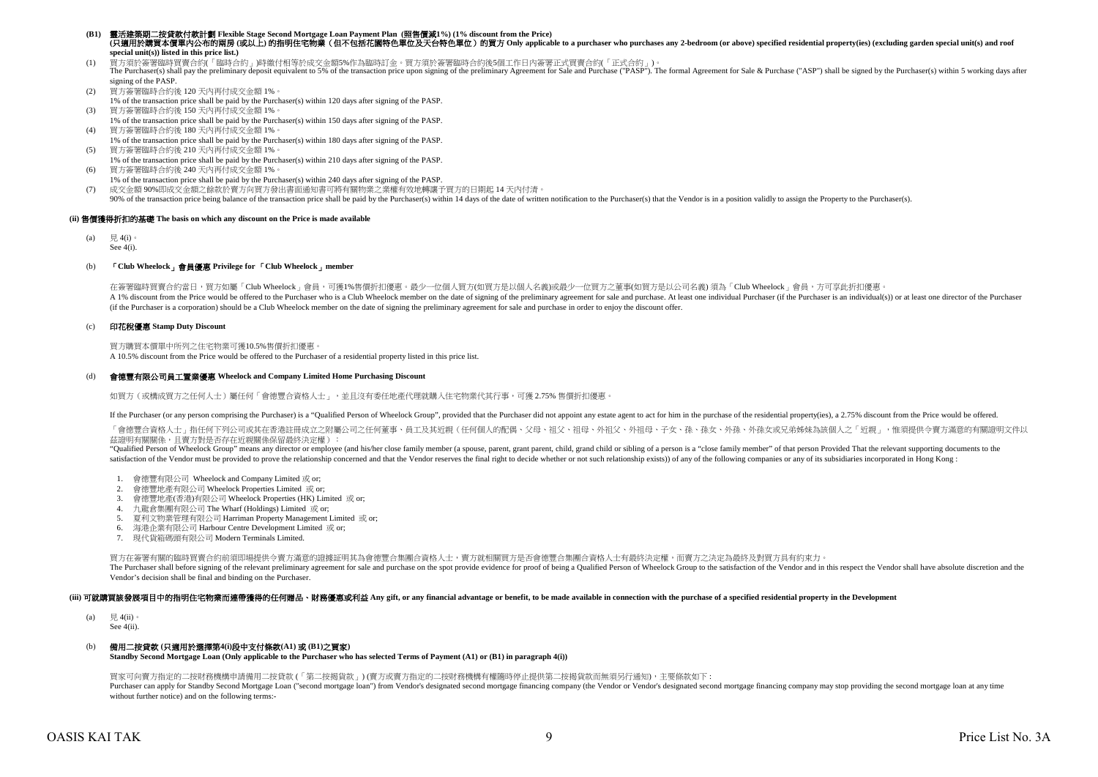#### **(B1)** 靈活建築期二按貸款付款計劃 **Flexible Stage Second Mortgage Loan Payment Plan (**照售價減**1%) (1% discount from the Price)** (只適用於講買本價單内公布的兩房(或以上)的指明住宅物業 (但不包括花園特色單位及天台特色單位) 的買方 Only applicable to a purchaser who purchases any 2-bedroom (or above) specified residential property(ies) (excluding garden special unit(s) and roof **special unit(s)) listed in this price list.)**

(1) 買方須於簽署臨時買賣合約(「臨時合約」)時繳付相等於成交金額5%作為臨時訂金。買方須於簽署臨時合約後5個工作日內簽署正式買賣合約(「正式合約」)。

The Purchaser(s) shall pay the preliminary deposit equivalent to 5% of the transaction price upon signing of the preliminary Agreement for Sale and Purchase ("PASP"). The formal Agreement for Sale & Purchase ("ASP") shall signing of the PASP.

- (2) 買方簽署臨時合約後 120 天內再付成交金額 1%。
- 1% of the transaction price shall be paid by the Purchaser(s) within 120 days after signing of the PASP. (3) 買方簽署臨時合約後 150 天內再付成交金額 1%。
- 1% of the transaction price shall be paid by the Purchaser(s) within 150 days after signing of the PASP.
- (4) 買方簽署臨時合約後 180 天內再付成交金額 1%。 1% of the transaction price shall be paid by the Purchaser(s) within 180 days after signing of the PASP.
- (5) 買方簽署臨時合約後 210 天內再付成交金額 1%。 1% of the transaction price shall be paid by the Purchaser(s) within 210 days after signing of the PASP.
- (6) 買方簽署臨時合約後 240 天內再付成交金額 1%。 1% of the transaction price shall be paid by the Purchaser(s) within 240 days after signing of the PASP.
- (7) 成交金額 90%即成交金額之餘款於賣方向買方發出書面通知書可將有關物業之業權有效地轉讓予買方的日期起 14 天內付清。
- 90% of the transaction price being balance of the transaction price shall be paid by the Purchaser(s) within 14 days of the date of written notification to the Purchaser(s) hat the Vendor is in a position validly to assign

#### **(ii)** 售價獲得折扣的基礎 **The basis on which any discount on the Price is made available**

(a) 見 4(i) See 4(i).

#### (b) 「**Club Wheelock**」會員優惠 **Privilege for** 「**Club Wheelock**」**member**

在簽署臨時買賣合約當日,買方如屬「Club Wheelock」會員,可獲1%售價折扣優惠。最少一位個人買方(如買方是以個人名義)或最少一位買方之董事(如買方是以公司名義) 須為「Club Wheelock」會員,方可享此折扣優惠。

A 1% discount from the Price would be offered to the Purchaser who is a Club Wheelock member on the date of signing of the preliminary agreement for sale and purchase. At least one individual Purchaser (if the Purchaser is (if the Purchaser is a corporation) should be a Club Wheelock member on the date of signing the preliminary agreement for sale and purchase in order to enjoy the discount offer.

#### (c) 印花稅優惠 **Stamp Duty Discount**

買方購買本價單中所列之住宅物業可獲10.5%售價折扣優惠。 A 10.5% discount from the Price would be offered to the Purchaser of a residential property listed in this price list.

#### (d) 會德豐有限公司員工置業優惠 **Wheelock and Company Limited Home Purchasing Discount**

如買方(或構成買方之任何人士)屬任何「會德豐合資格人士」,並且沒有委任地產代理就購入住宅物業代其行事,可獲 2.75% 售價折扣優惠

If the Purchaser (or any person comprising the Purchaser) is a "Oualified Person of Wheelock Group", provided that the Purchaser did not appoint any estate agent to act for him in the purchase of the residential property i

「會德豐合資格人士」指任何下列公司或其在香港註冊成立之附屬公司之任何董事、員工及其近親(任何個人的配偶、父母、祖父、祖母、外祖父、外祖母、子女、孫、孫女、外孫、外孫女或兄弟姊妹為該個人之「近親」,惟須提供今賣方滿竟的有關證明文件以 茲證明有關關係,且賣方對是否存在近親關係保留最終決定權):

"Qualified Person of Wheelock Group" means any director or employee (and his/her close family member (a spouse, parent, grant parent, child, grand child or sibling of a person is a "close family member" of that person Prov satisfaction of the Vendor must be provided to prove the relationship concerned and that the Vendor reserves the final right to decide whether or not such relationship exists)) of any of the following companies or any of i

- 1. 會德豐有限公司 Wheelock and Company Limited 或 or;
- 2. 會德豐地產有限公司 Wheelock Properties Limited 或 or;
- 3. 會德豐地產(香港)有限公司 Wheelock Properties (HK) Limited 或 or;
- 4. 九龍倉集團有限公司 The Wharf (Holdings) Limited 或 or;
- 5. 夏利文物業管理有限公司 Harriman Property Management Limited 或 or;
- 6. 海港企業有限公司 Harbour Centre Development Limited 或 or;
- 7. 現代貨箱碼頭有限公司 Modern Terminals Limited.

買方在簽署有關的臨時買賣合約前須即場提供令賣方滿意的證據証明其為會德豐合集團合資格人士,賣方就相關買方是否會德豐合集團合資格人士有最終決定權,而賣方之決定為最終及對買方具有約束力。 The Purchaser shall before signing of the relevant preliminary agreement for sale and purchase on the spot provide evidence for proof of being a Qualified Person of Wheelock Group to the satisfaction of the Vendor and in t Vendor's decision shall be final and binding on the Purchaser.

#### (iii) 可就購買該發展項目中的指明住宅物業而連帶獲得的任何贈品、財務優惠或利益 Any gift, or any financial advantage or benefit, to be made available in connection with the purchase of a specified residential property in the Development

 $(a)$   $\boxplus$  4(ii) See 4(ii).

## (b) 備用二按貸款 **(**只適用於選擇第**4(i)**段中支付條款**(A1)** 或 **(B1)**之買家**)**

**Standby Second Mortgage Loan (Only applicable to the Purchaser who has selected Terms of Payment (A1) or (B1) in paragraph 4(i))**

買家可向賣方指定的二按財務機構申請備用二按貸款 (「第二按揭貨款」) (賣方或賣方指定的二按財務機構有權隨時停止提供第二按揭貨款而無須另行通知),主要條款如下 :

Purchaser can apply for Standby Second Mortgage Loan ("second mortgage loan") from Vendor's designated second mortgage financing company (the Vendor or Vendor's designated second mortgage financing company may stop providi without further notice) and on the following terms:-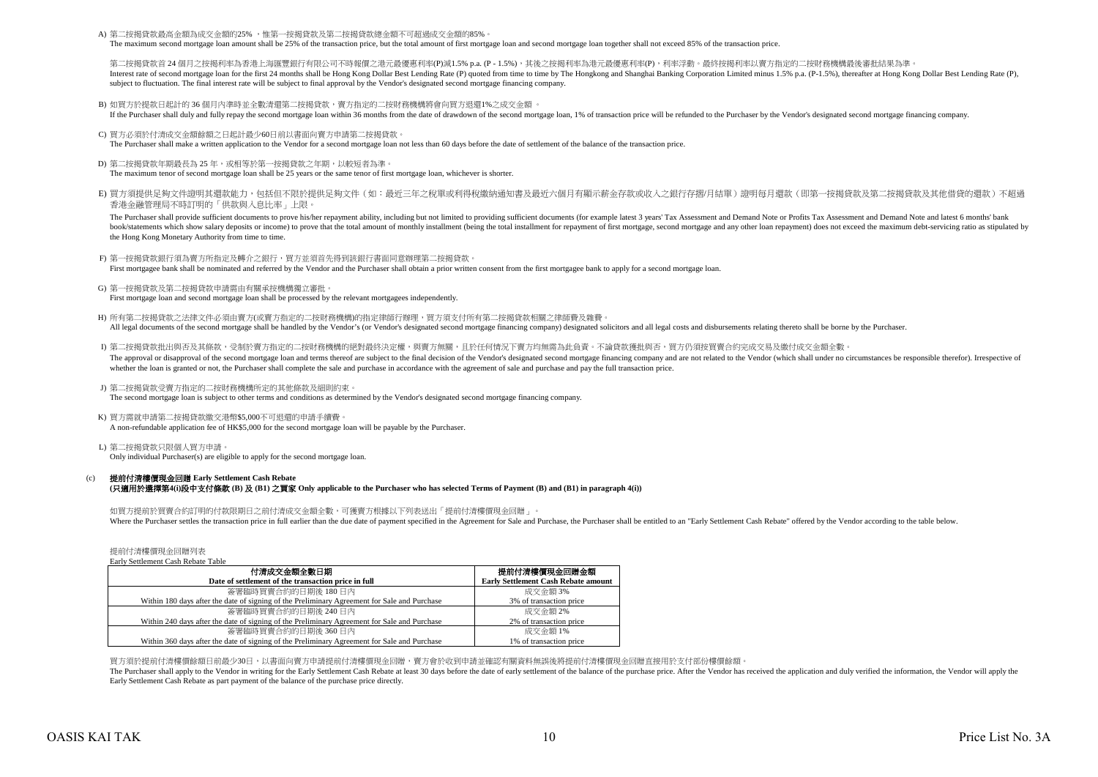A) 第二按揭貸款最高金額為成交金額的25% ,惟第一按揭貸款及第二按揭貸款總金額不可超過成交金額的85%。

The maximum second mortgage loan amount shall be 25% of the transaction price, but the total amount of first mortgage loan and second mortgage loan together shall not exceed 85% of the transaction price.

第二按揭貸款首 24 個月之按揭利率為香港上海匯豐銀行有限公司不時報價之港元最優惠利率(P)減1.5% p.a. (P - 1.5%),其後之按揭利率為港元最優惠利率(P),利率浮動。最終按揭利率以賣方指定的二按財務機構最後審批結果為準 Interest rate of second mortgage loan for the first 24 months shall be Hong Kong Dollar Best Lending Rate (P) quoted from time to time by The Hongkong and Shanghai Banking Corporation Limited minus 1.5% p.a. (P-1.5%), ther subject to fluctuation. The final interest rate will be subject to final approval by the Vendor's designated second mortgage financing company.

- B) 如買方於提款日起計的 36 個月內準時並全數清還第二按揭貸款,賣方指定的二按財務機構將會向買方退還1%之成交金額 。 If the Purchaser shall duly and fully repay the second mortgage loan within 36 months from the date of drawdown of the second mortgage loan, 1% of transaction price will be refunded to the Purchaser by the Vendor's designa
- C) 買方必須於付清成交金額餘額之日起計最少60日前以書面向賣方申請第二按揭貸款。 The Purchaser shall make a written application to the Vendor for a second mortgage loan not less than 60 days before the date of settlement of the balance of the transaction price.
- D) 第二按揭貸款年期最長為 25 年,或相等於第一按揭貸款之年期,以較短者為準。 The maximum tenor of second mortgage loan shall be 25 years or the same tenor of first mortgage loan, whichever is shorter.
- E) 買方須提供足夠文件證明其還款能力,包括但不限於提供足夠文件(如:最近三年之稅單或利得稅繳納通知書及最近六個月有顯示薪金存款或收入之銀行存摺/月結單)證明每月還款(即第一按揭貸款及第二按揭貸款及其他借貸的還款)不超過 香港金融管理局不時訂明的「供款與入息比率」上限。

The Purchaser shall provide sufficient documents to prove his/her repayment ability, including but not limited to providing sufficient documents (for example latest 3 years' Tax Assessment and Demand Note or Profits Tax As book/statements which show salary deposits or income) to prove that the total amount of monthly installment (being the total installment for repayment of first mortgage, second mortgage and any other loan repayment) does n the Hong Kong Monetary Authority from time to time.

- F) 第一按揭貸款銀行須為賣方所指定及轉介之銀行,買方並須首先得到該銀行書面同意辦理第二按揭貸款 First mortgagee bank shall be nominated and referred by the Vendor and the Purchaser shall obtain a prior written consent from the first mortgagee bank to apply for a second mortgage loan.
- G) 第一按揭貸款及第二按揭貸款申請需由有關承按機構獨立審批。 First mortgage loan and second mortgage loan shall be processed by the relevant mortgagees independently.
- H) 所有第二按揭貸款之法律文件必須由賣方(或賣方指定的二按財務機構)的指定律師行辦理,買方須支付所有第二按揭貸款相關之律師費及雜費。 All legal documents of the second mortgage shall be handled by the Vendor's (or Vendor's cor Vendor's designated second mortgage financing company) designated solicitors and all legal costs and disbursements relating there
- I) 第二按揭貸款批出與否及其條款,受制於賣方指定的二按財務機構的絕對最終決定權,與賣方無關,且於任何情況下賣方均無需為此負責。不論貸款獲批與否,買方仍須按買賣合約完成交易及繳付成交金額全數 The approval or disapproval of the second morteage loan and terms thereof are subject to the final decision of the Vendor's designated second morteage financing company and are not related to the Vendor (which shall under whether the loan is granted or not, the Purchaser shall complete the sale and purchase in accordance with the agreement of sale and purchase and pay the full transaction price.
- J) 第二按揭貨款受賣方指定的二按財務機構所定的其他條款及細則約束。

The second mortgage loan is subject to other terms and conditions as determined by the Vendor's designated second mortgage financing company.

K) 買方需就申請第二按揭貸款繳交港幣\$5,000不可退還的申請手續費。 A non-refundable application fee of HK\$5,000 for the second mortgage loan will be payable by the Purchaser.

L) 第二按揭貸款只限個人買方申請。 Only individual Purchaser(s) are eligible to apply for the second mortgage loan.

#### $(c)$ **(**只適用於選擇第**4(i)**段中支付條款 **(B)** 及 **(B1)** 之買家 **Only applicable to the Purchaser who has selected Terms of Payment (B) and (B1) in paragraph 4(i))** 提前付清樓價現金回贈 **Early Settlement Cash Rebate**

如買方提前於買賣合約訂明的付款限期日之前付清成交金額全數,可獲賣方根據以下列表送出「提前付清樓價現金回贈」。 Where the Purchaser settles the transaction price in full earlier than the due date of payment specified in the Agreement for Sale and Purchase the Purchaser shall be entitled to an "Early Settlement Cash Rebate" offered b

提前付清樓價現金回贈列表 Early Settlement Cash Rebate Table

| 付清成交金額全數日期                                                                                   | 提前付清樓價現金回贈金額                               |
|----------------------------------------------------------------------------------------------|--------------------------------------------|
| Date of settlement of the transaction price in full                                          | <b>Early Settlement Cash Rebate amount</b> |
| 簽署臨時買賣合約的日期後 180 日内                                                                          | 成交金額 3%                                    |
| Within 180 days after the date of signing of the Preliminary Agreement for Sale and Purchase | 3% of transaction price                    |
| 簽署臨時買賣合約的日期後 240 日內                                                                          | 成交金額 2%                                    |
| Within 240 days after the date of signing of the Preliminary Agreement for Sale and Purchase | 2% of transaction price                    |
| 簽署臨時買賣合約的日期後 360 日內                                                                          | 成交金額 1%                                    |
| Within 360 days after the date of signing of the Preliminary Agreement for Sale and Purchase | 1% of transaction price                    |

買方須於提前付清樓價餘額日前最少30日,以書面向賣方申請提前付清樓價現金回贈,賣方會於收到申請並確認有關資料無誤後將提前付清樓價現金回贈直接用於支付部份樓價餘額。

The Purchaser shall apply to the Vendor in writing for the Early Settlement Cash Rebate at least 30 days before the date of early settlement of the balance of the purchase price. After the Vendor has received the applicati Early Settlement Cash Rebate as part payment of the balance of the purchase price directly.